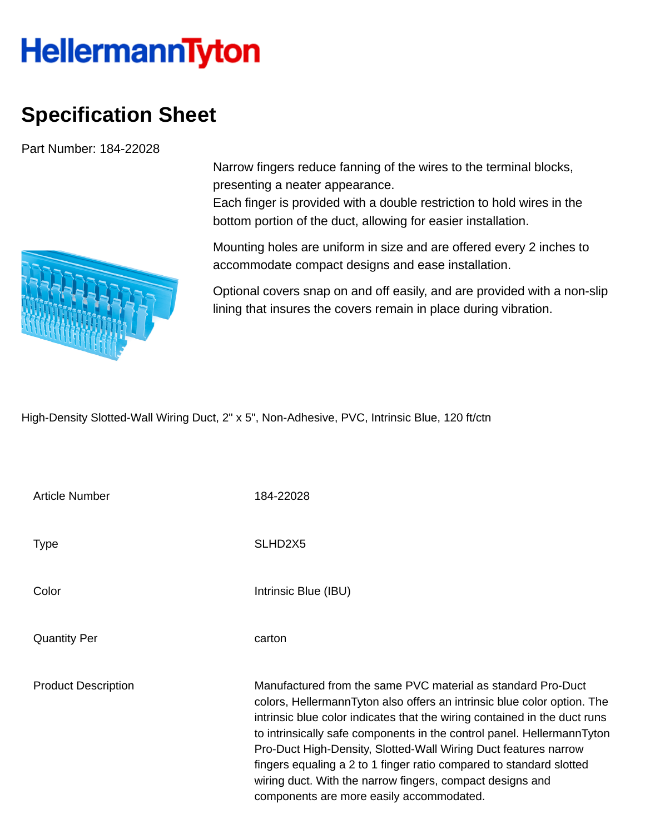## **HellermannTyton**

## **Specification Sheet**

Part Number: 184-22028

Narrow fingers reduce fanning of the wires to the terminal blocks, presenting a neater appearance.

Each finger is provided with a double restriction to hold wires in the bottom portion of the duct, allowing for easier installation.

Mounting holes are uniform in size and are offered every 2 inches to accommodate compact designs and ease installation.

Optional covers snap on and off easily, and are provided with a non-slip lining that insures the covers remain in place during vibration.

High-Density Slotted-Wall Wiring Duct, 2" x 5", Non-Adhesive, PVC, Intrinsic Blue, 120 ft/ctn

| <b>Article Number</b>      | 184-22028                                                                                                                                                                                                                                                                                                                                                                                                                                                                                                                                         |
|----------------------------|---------------------------------------------------------------------------------------------------------------------------------------------------------------------------------------------------------------------------------------------------------------------------------------------------------------------------------------------------------------------------------------------------------------------------------------------------------------------------------------------------------------------------------------------------|
| <b>Type</b>                | SLHD <sub>2</sub> X <sub>5</sub>                                                                                                                                                                                                                                                                                                                                                                                                                                                                                                                  |
| Color                      | Intrinsic Blue (IBU)                                                                                                                                                                                                                                                                                                                                                                                                                                                                                                                              |
| <b>Quantity Per</b>        | carton                                                                                                                                                                                                                                                                                                                                                                                                                                                                                                                                            |
| <b>Product Description</b> | Manufactured from the same PVC material as standard Pro-Duct<br>colors, HellermannTyton also offers an intrinsic blue color option. The<br>intrinsic blue color indicates that the wiring contained in the duct runs<br>to intrinsically safe components in the control panel. HellermannTyton<br>Pro-Duct High-Density, Slotted-Wall Wiring Duct features narrow<br>fingers equaling a 2 to 1 finger ratio compared to standard slotted<br>wiring duct. With the narrow fingers, compact designs and<br>components are more easily accommodated. |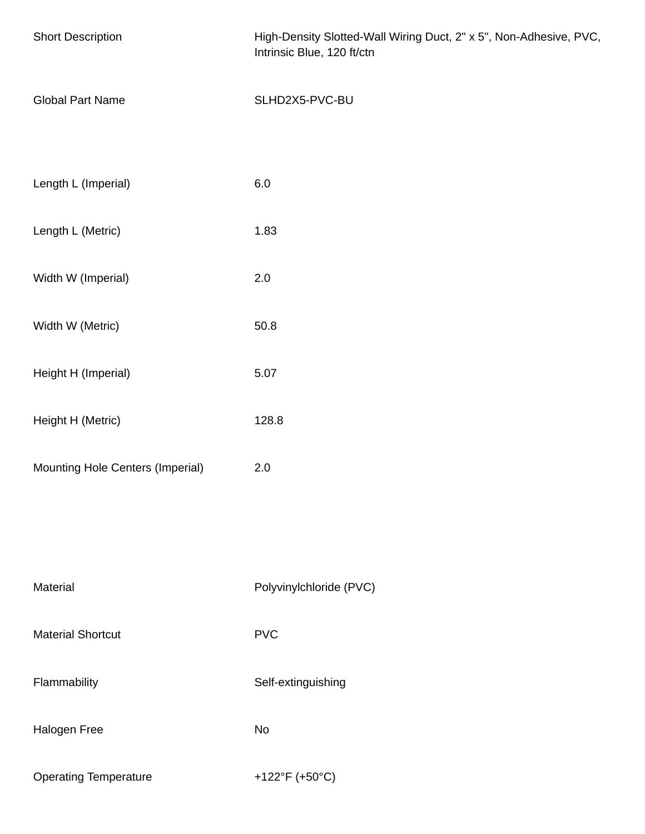| <b>Short Description</b>         | High-Density Slotted-Wall Wiring Duct, 2" x 5", Non-Adhesive, PVC,<br>Intrinsic Blue, 120 ft/ctn |  |  |
|----------------------------------|--------------------------------------------------------------------------------------------------|--|--|
| <b>Global Part Name</b>          | SLHD2X5-PVC-BU                                                                                   |  |  |
| Length L (Imperial)              | 6.0                                                                                              |  |  |
| Length L (Metric)                | 1.83                                                                                             |  |  |
| Width W (Imperial)               | $2.0\,$                                                                                          |  |  |
| Width W (Metric)                 | 50.8                                                                                             |  |  |
| Height H (Imperial)              | 5.07                                                                                             |  |  |
| Height H (Metric)                | 128.8                                                                                            |  |  |
| Mounting Hole Centers (Imperial) | $2.0\,$                                                                                          |  |  |
|                                  |                                                                                                  |  |  |
| Material                         | Polyvinylchloride (PVC)                                                                          |  |  |
| <b>Material Shortcut</b>         | <b>PVC</b>                                                                                       |  |  |
| Flammability                     | Self-extinguishing                                                                               |  |  |
| Halogen Free                     | <b>No</b>                                                                                        |  |  |
| <b>Operating Temperature</b>     | +122°F (+50°C)                                                                                   |  |  |